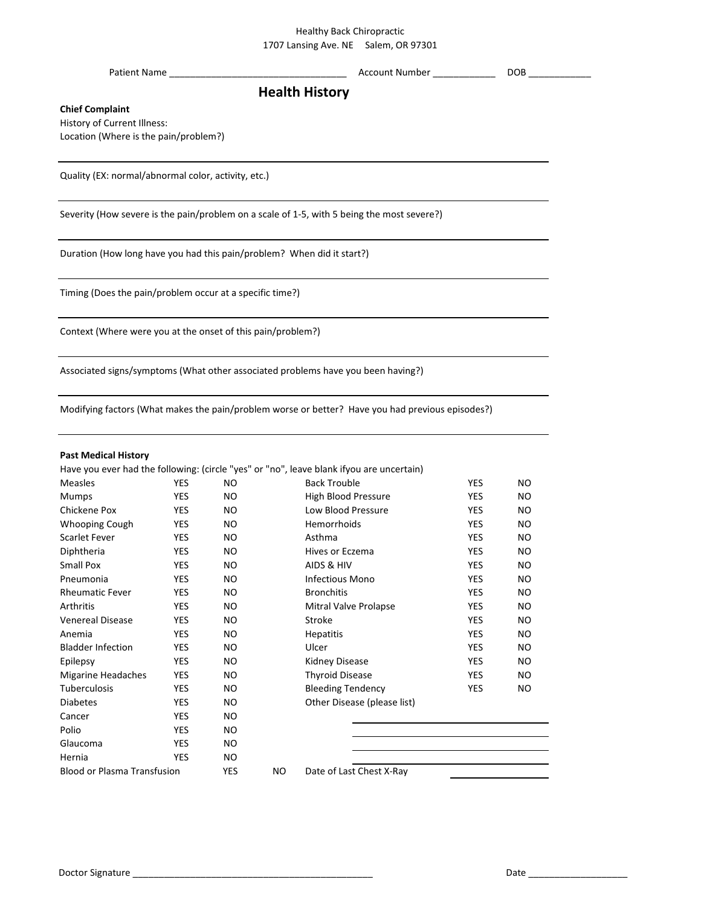### Healthy Back Chiropractic 1707 Lansing Ave. NE Salem, OR 97301

Patient Name \_\_\_\_\_\_\_\_\_\_\_\_\_\_\_\_\_\_\_\_\_\_\_\_\_\_\_\_\_\_\_\_\_\_ Account Number \_\_\_\_\_\_\_\_\_\_\_\_ DOB \_\_\_\_\_\_\_\_\_\_\_\_

# **Health History**

**Chief Complaint**

History of Current Illness: Location (Where is the pain/problem?)

Quality (EX: normal/abnormal color, activity, etc.)

Severity (How severe is the pain/problem on a scale of 1-5, with 5 being the most severe?)

Duration (How long have you had this pain/problem? When did it start?)

Timing (Does the pain/problem occur at a specific time?)

Context (Where were you at the onset of this pain/problem?)

Associated signs/symptoms (What other associated problems have you been having?)

Modifying factors (What makes the pain/problem worse or better? Have you had previous episodes?)

#### **Past Medical History**

|                          |            |     | Have you ever had the following: (circle "yes" or "no", leave blank ifyou are uncertain) |            |                |
|--------------------------|------------|-----|------------------------------------------------------------------------------------------|------------|----------------|
| <b>Measles</b>           | <b>YES</b> | NO. | <b>Back Trouble</b>                                                                      | <b>YES</b> | N <sub>O</sub> |
| <b>Mumps</b>             | <b>YES</b> | NO. | <b>High Blood Pressure</b>                                                               | <b>YES</b> | N <sub>O</sub> |
| Chickene Pox             | YES        | NO. | Low Blood Pressure                                                                       | <b>YES</b> | N <sub>O</sub> |
| Whooping Cough           | YES        | NO. | <b>Hemorrhoids</b>                                                                       | <b>YES</b> | N <sub>O</sub> |
| <b>Scarlet Fever</b>     | <b>YES</b> | NO. | Asthma                                                                                   | <b>YES</b> | N <sub>O</sub> |
| Diphtheria               | <b>YES</b> | NO. | Hives or Eczema                                                                          | <b>YES</b> | N <sub>O</sub> |
| <b>Small Pox</b>         | YES        | NO. | AIDS & HIV                                                                               | <b>YES</b> | N <sub>O</sub> |
| Pneumonia                | <b>YES</b> | NO. | Infectious Mono                                                                          | <b>YES</b> | N <sub>O</sub> |
| <b>Rheumatic Fever</b>   | <b>YES</b> | NO. | <b>Bronchitis</b>                                                                        | <b>YES</b> | N <sub>O</sub> |
| Arthritis                | <b>YES</b> | NO. | Mitral Valve Prolapse                                                                    | <b>YES</b> | N <sub>O</sub> |
| <b>Venereal Disease</b>  | YES        | NO. | Stroke                                                                                   | <b>YES</b> | N <sub>O</sub> |
| Anemia                   | <b>YES</b> | NO. | <b>Hepatitis</b>                                                                         | <b>YES</b> | N <sub>O</sub> |
| <b>Bladder Infection</b> | <b>YES</b> | NO. | Ulcer                                                                                    | <b>YES</b> | N <sub>O</sub> |
| Epilepsy                 | YES        | NO. | Kidney Disease                                                                           | <b>YES</b> | N <sub>O</sub> |
| Migarine Headaches       | <b>YES</b> | NO. | <b>Thyroid Disease</b>                                                                   | <b>YES</b> | <b>NO</b>      |
| Tuberculosis             | <b>YES</b> | NO. | <b>Bleeding Tendency</b>                                                                 | <b>YES</b> | N <sub>O</sub> |
| <b>Diabetes</b>          | YES        | NO. | Other Disease (please list)                                                              |            |                |
| Cancer                   | YES        | NO. |                                                                                          |            |                |
| Polio                    | <b>YES</b> | NO. |                                                                                          |            |                |
| Glaucoma                 | <b>YES</b> | NO. |                                                                                          |            |                |
| Hernia                   | <b>YES</b> | NO. |                                                                                          |            |                |

Blood or Plasma Transfusion YES NO Date of Last Chest X-Ray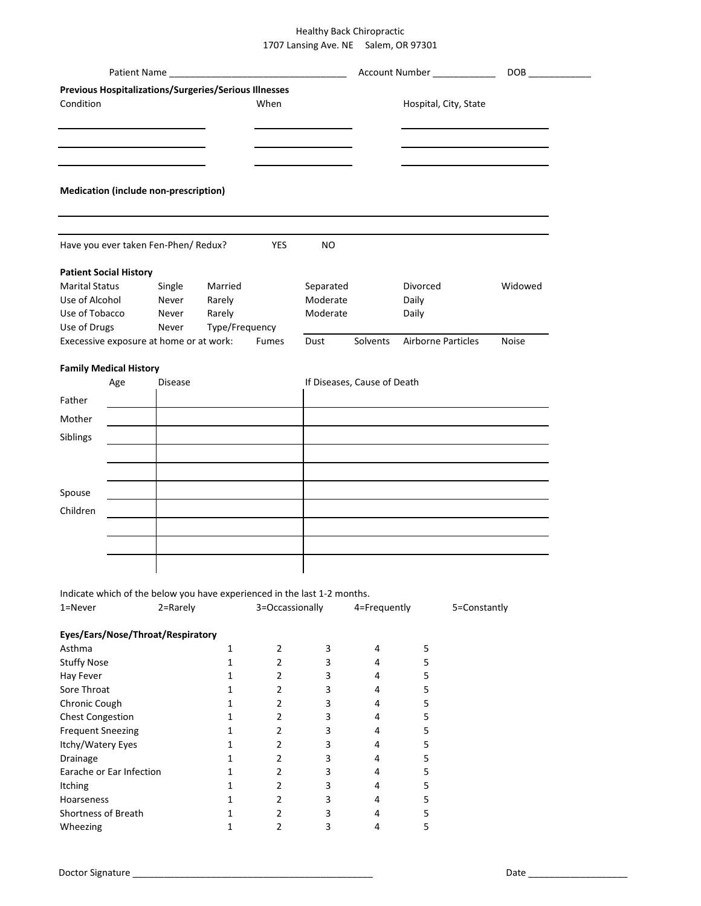# Healthy Back Chiropractic 1707 Lansing Ave. NE Salem, OR 97301

|                                                                    |     |                                         |                |            | Account Number ____________                                              |                       |                    |         |
|--------------------------------------------------------------------|-----|-----------------------------------------|----------------|------------|--------------------------------------------------------------------------|-----------------------|--------------------|---------|
| Previous Hospitalizations/Surgeries/Serious Illnesses<br>Condition |     |                                         | When           |            |                                                                          | Hospital, City, State |                    |         |
|                                                                    |     | Medication (include non-prescription)   |                |            |                                                                          |                       |                    |         |
|                                                                    |     | Have you ever taken Fen-Phen/ Redux?    |                | <b>YES</b> | <b>NO</b>                                                                |                       |                    |         |
| <b>Patient Social History</b>                                      |     |                                         |                |            |                                                                          |                       |                    |         |
| <b>Marital Status</b>                                              |     | Single                                  | Married        |            | Separated                                                                |                       | Divorced           | Widowed |
| Use of Alcohol                                                     |     | Never                                   | Rarely         |            | Moderate                                                                 |                       | Daily              |         |
| Use of Tobacco                                                     |     | Never                                   | Rarely         |            | Moderate                                                                 |                       | Daily              |         |
| Use of Drugs                                                       |     | Never                                   | Type/Frequency | Fumes      | Dust                                                                     | Solvents              | Airborne Particles | Noise   |
|                                                                    |     | Execessive exposure at home or at work: |                |            |                                                                          |                       |                    |         |
| <b>Family Medical History</b>                                      |     |                                         |                |            |                                                                          |                       |                    |         |
|                                                                    | Age | <b>Disease</b>                          |                |            | If Diseases, Cause of Death                                              |                       |                    |         |
| Father                                                             |     |                                         |                |            |                                                                          |                       |                    |         |
| Mother                                                             |     |                                         |                |            |                                                                          |                       |                    |         |
| Siblings                                                           |     |                                         |                |            |                                                                          |                       |                    |         |
|                                                                    |     |                                         |                |            |                                                                          |                       |                    |         |
|                                                                    |     |                                         |                |            |                                                                          |                       |                    |         |
| Spouse                                                             |     |                                         |                |            |                                                                          |                       |                    |         |
| Children                                                           |     |                                         |                |            |                                                                          |                       |                    |         |
|                                                                    |     |                                         |                |            |                                                                          |                       |                    |         |
|                                                                    |     |                                         |                |            |                                                                          |                       |                    |         |
|                                                                    |     |                                         |                |            |                                                                          |                       |                    |         |
|                                                                    |     |                                         |                |            |                                                                          |                       |                    |         |
|                                                                    |     |                                         |                |            | Indicate which of the below you have experienced in the last 1-2 months. |                       |                    |         |

1=Never 2=Rarely 3=Occassionally 4=Frequently 5=Constantly **Eyes/Ears/Nose/Throat/Respiratory** Asthma 1 2 3 4 5 Stuffy Nose 1 2 3 4 5 Hay Fever 1 2 3 4 5 Sore Throat 1 2 3 4 5 Chronic Cough 1 2 3 4 5 Chest Congestion 1 2 3 4 5 Frequent Sneezing 1 2 3 4 5 Itchy/Watery Eyes 1 2 3 4 5 Drainage 1 2 3 4 5 Earache or Ear Infection 1 2 3 4 5 Itching 1 2 3 4 5 Hoarseness 1 2 3 4 5 Shortness of Breath 1 2 3 4 5 Wheezing 1 2 3 4 5